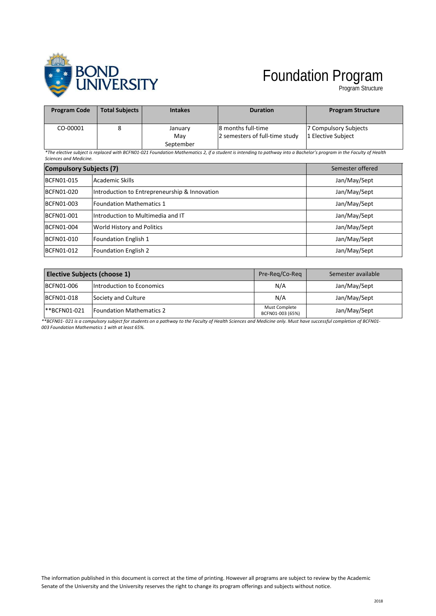

## Foundation Program

Program Structure

| <b>Program Code</b> | <b>Total Subjects</b> | <b>Intakes</b> | <b>Duration</b>                | <b>Program Structure</b> |
|---------------------|-----------------------|----------------|--------------------------------|--------------------------|
| CO-00001            |                       | January        | 18 months full-time            | 7 Compulsory Subjects    |
|                     |                       | Mav            | 2 semesters of full-time study | 1 Elective Subject       |
|                     |                       | September      |                                |                          |

*\*The elective subject is replaced with BCFN01-021 Foundation Mathematics 2, if a student is intending to pathway into a Bachelor's program in the Faculty of Health Sciences and Medicine.*

| <b>Compulsory Subjects (7)</b> |                                               | Semester offered |
|--------------------------------|-----------------------------------------------|------------------|
| <b>BCFN01-015</b>              | Academic Skills                               | Jan/May/Sept     |
| BCFN01-020                     | Introduction to Entrepreneurship & Innovation | Jan/May/Sept     |
| BCFN01-003                     | Foundation Mathematics 1                      | Jan/May/Sept     |
| <b>BCFN01-001</b>              | Introduction to Multimedia and IT             | Jan/May/Sept     |
| BCFN01-004                     | World History and Politics                    | Jan/May/Sept     |
| BCFN01-010                     | Foundation English 1                          | Jan/May/Sept     |
| <b>BCFN01-012</b>              | <b>Foundation English 2</b>                   | Jan/May/Sept     |

| Elective Subjects (choose 1) |                                  | Pre-Reg/Co-Reg                    | Semester available |
|------------------------------|----------------------------------|-----------------------------------|--------------------|
| BCFN01-006                   | <b>Introduction to Economics</b> | N/A                               | Jan/May/Sept       |
| BCFN01-018                   | Society and Culture              | N/A                               | Jan/May/Sept       |
| <b>**BCFN01-021</b>          | <b>IFoundation Mathematics 2</b> | Must Complete<br>BCFN01-003 (65%) | Jan/May/Sept       |

*\*\*BCFN01- 021 is a compulsory subject for students on a pathway to the Faculty of Health Sciences and Medicine only. Must have successful completion of BCFN01- 003 Foundation Mathematics 1 with at least 65%.*